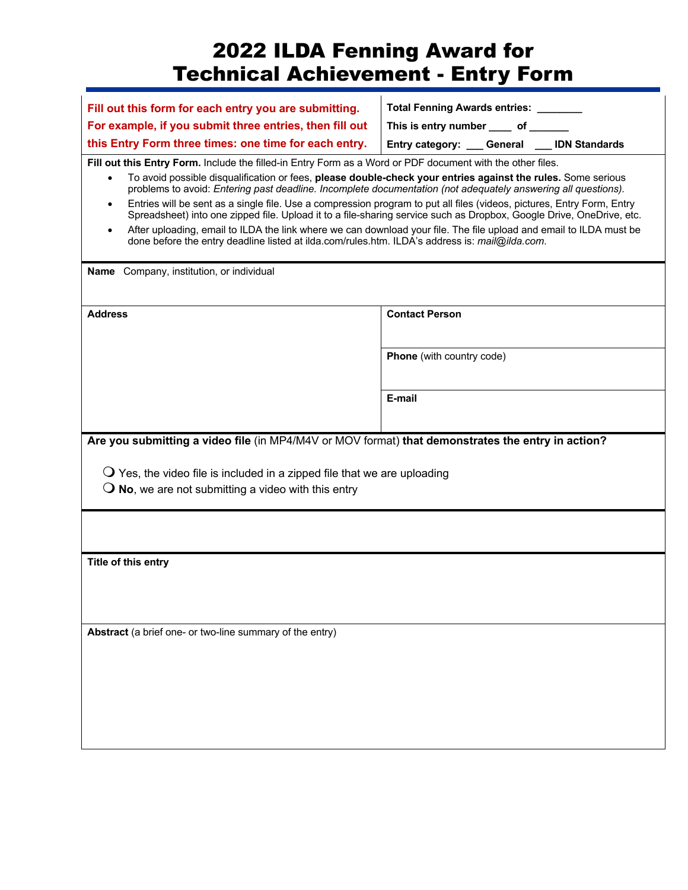## 2022 ILDA Fenning Award for Technical Achievement - Entry Form

| Fill out this form for each entry you are submitting.                                                                                                                                                                                                                                                                                                                                                                                                                                                  | Total Fenning Awards entries: _______                                                                                                                                                                                                                                                                                                                                |  |  |
|--------------------------------------------------------------------------------------------------------------------------------------------------------------------------------------------------------------------------------------------------------------------------------------------------------------------------------------------------------------------------------------------------------------------------------------------------------------------------------------------------------|----------------------------------------------------------------------------------------------------------------------------------------------------------------------------------------------------------------------------------------------------------------------------------------------------------------------------------------------------------------------|--|--|
| For example, if you submit three entries, then fill out                                                                                                                                                                                                                                                                                                                                                                                                                                                | This is entry number _____ of ______                                                                                                                                                                                                                                                                                                                                 |  |  |
| this Entry Form three times: one time for each entry.                                                                                                                                                                                                                                                                                                                                                                                                                                                  | Entry category: ___ General ___ IDN Standards                                                                                                                                                                                                                                                                                                                        |  |  |
| Fill out this Entry Form. Include the filled-in Entry Form as a Word or PDF document with the other files.<br>To avoid possible disqualification or fees, please double-check your entries against the rules. Some serious<br>problems to avoid: Entering past deadline. Incomplete documentation (not adequately answering all questions).<br>$\bullet$<br>done before the entry deadline listed at ilda.com/rules.htm. ILDA's address is: mail@ilda.com.<br>Name Company, institution, or individual | Entries will be sent as a single file. Use a compression program to put all files (videos, pictures, Entry Form, Entry<br>Spreadsheet) into one zipped file. Upload it to a file-sharing service such as Dropbox, Google Drive, OneDrive, etc.<br>After uploading, email to ILDA the link where we can download your file. The file upload and email to ILDA must be |  |  |
| <b>Address</b>                                                                                                                                                                                                                                                                                                                                                                                                                                                                                         | <b>Contact Person</b>                                                                                                                                                                                                                                                                                                                                                |  |  |
|                                                                                                                                                                                                                                                                                                                                                                                                                                                                                                        | <b>Phone</b> (with country code)                                                                                                                                                                                                                                                                                                                                     |  |  |
|                                                                                                                                                                                                                                                                                                                                                                                                                                                                                                        | E-mail                                                                                                                                                                                                                                                                                                                                                               |  |  |
| Are you submitting a video file (in MP4/M4V or MOV format) that demonstrates the entry in action?<br>$\mathbf O$ Yes, the video file is included in a zipped file that we are uploading<br>$\overline{O}$ No, we are not submitting a video with this entry                                                                                                                                                                                                                                            |                                                                                                                                                                                                                                                                                                                                                                      |  |  |
| Title of this entry                                                                                                                                                                                                                                                                                                                                                                                                                                                                                    |                                                                                                                                                                                                                                                                                                                                                                      |  |  |
|                                                                                                                                                                                                                                                                                                                                                                                                                                                                                                        |                                                                                                                                                                                                                                                                                                                                                                      |  |  |
| Abstract (a brief one- or two-line summary of the entry)                                                                                                                                                                                                                                                                                                                                                                                                                                               |                                                                                                                                                                                                                                                                                                                                                                      |  |  |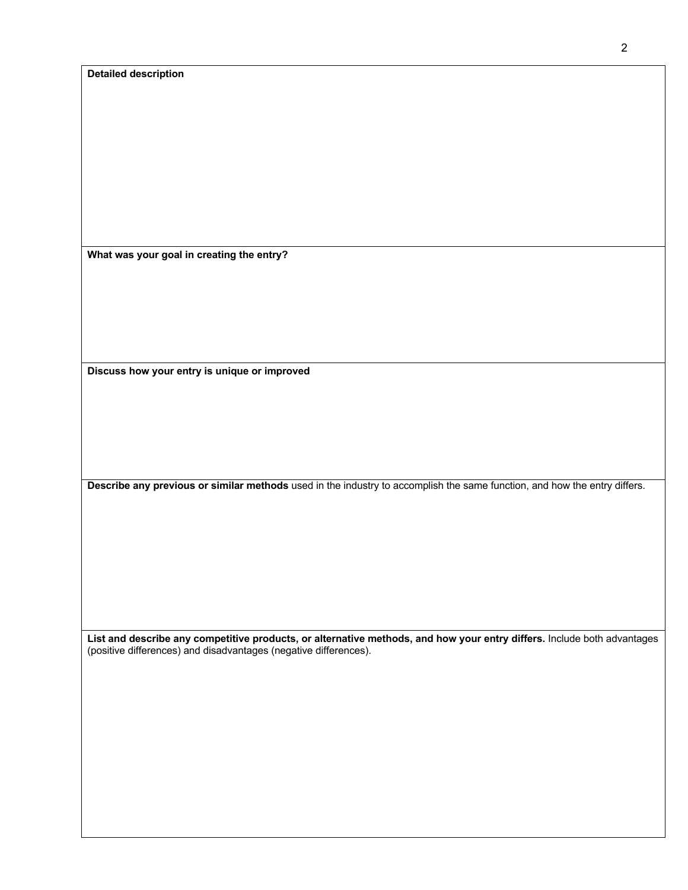|  | <b>Detailed description</b> |  |
|--|-----------------------------|--|
|  |                             |  |

**What was your goal in creating the entry?**

**Discuss how your entry is unique or improved**

**Describe any previous or similar methods** used in the industry to accomplish the same function, and how the entry differs.

**List and describe any competitive products, or alternative methods, and how your entry differs.** Include both advantages (positive differences) and disadvantages (negative differences).